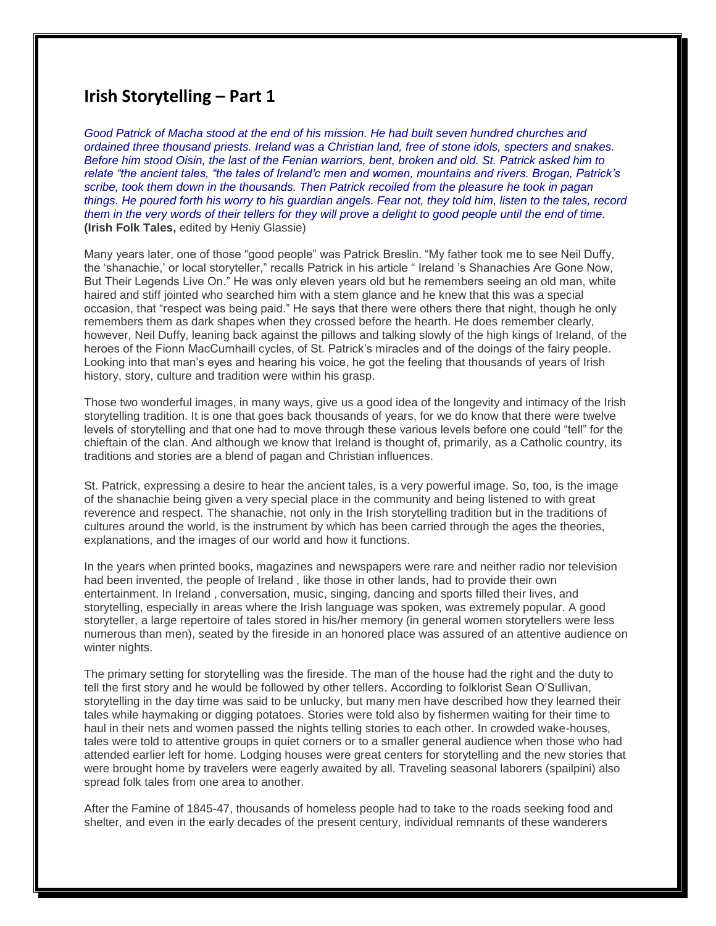## **Irish Storytelling – Part 1**

*Good Patrick of Macha stood at the end of his mission. He had built seven hundred churches and ordained three thousand priests. Ireland was a Christian land, free of stone idols, specters and snakes. Before him stood Oisin, the last of the Fenian warriors, bent, broken and old. St. Patrick asked him to relate "the ancient tales, "the tales of Ireland'c men and women, mountains and rivers. Brogan, Patrick's scribe, took them down in the thousands. Then Patrick recoiled from the pleasure he took in pagan things. He poured forth his worry to his guardian angels. Fear not, they told him, listen to the tales, record them in the very words of their tellers for they will prove a delight to good people until the end of time.* **(Irish Folk Tales,** edited by Heniy Glassie)

Many years later, one of those "good people" was Patrick Breslin. "My father took me to see Neil Duffy, the 'shanachie,' or local storyteller," recalls Patrick in his article " Ireland 's Shanachies Are Gone Now, But Their Legends Live On." He was only eleven years old but he remembers seeing an old man, white haired and stiff jointed who searched him with a stem glance and he knew that this was a special occasion, that "respect was being paid." He says that there were others there that night, though he only remembers them as dark shapes when they crossed before the hearth. He does remember clearly, however, Neil Duffy, leaning back against the pillows and talking slowly of the high kings of Ireland, of the heroes of the Fionn MacCumhaill cycles, of St. Patrick's miracles and of the doings of the fairy people. Looking into that man's eyes and hearing his voice, he got the feeling that thousands of years of Irish history, story, culture and tradition were within his grasp.

Those two wonderful images, in many ways, give us a good idea of the longevity and intimacy of the Irish storytelling tradition. It is one that goes back thousands of years, for we do know that there were twelve levels of storytelling and that one had to move through these various levels before one could "tell" for the chieftain of the clan. And although we know that Ireland is thought of, primarily, as a Catholic country, its traditions and stories are a blend of pagan and Christian influences.

St. Patrick, expressing a desire to hear the ancient tales, is a very powerful image. So, too, is the image of the shanachie being given a very special place in the community and being listened to with great reverence and respect. The shanachie, not only in the Irish storytelling tradition but in the traditions of cultures around the world, is the instrument by which has been carried through the ages the theories, explanations, and the images of our world and how it functions.

In the years when printed books, magazines and newspapers were rare and neither radio nor television had been invented, the people of Ireland , like those in other lands, had to provide their own entertainment. In Ireland , conversation, music, singing, dancing and sports filled their lives, and storytelling, especially in areas where the Irish language was spoken, was extremely popular. A good storyteller, a large repertoire of tales stored in his/her memory (in general women storytellers were less numerous than men), seated by the fireside in an honored place was assured of an attentive audience on winter nights.

The primary setting for storytelling was the fireside. The man of the house had the right and the duty to tell the first story and he would be followed by other tellers. According to folklorist Sean O'Sullivan, storytelling in the day time was said to be unlucky, but many men have described how they learned their tales while haymaking or digging potatoes. Stories were told also by fishermen waiting for their time to haul in their nets and women passed the nights telling stories to each other. In crowded wake-houses, tales were told to attentive groups in quiet corners or to a smaller general audience when those who had attended earlier left for home. Lodging houses were great centers for storytelling and the new stories that were brought home by travelers were eagerly awaited by all. Traveling seasonal laborers (spailpini) also spread folk tales from one area to another.

After the Famine of 1845-47, thousands of homeless people had to take to the roads seeking food and shelter, and even in the early decades of the present century, individual remnants of these wanderers